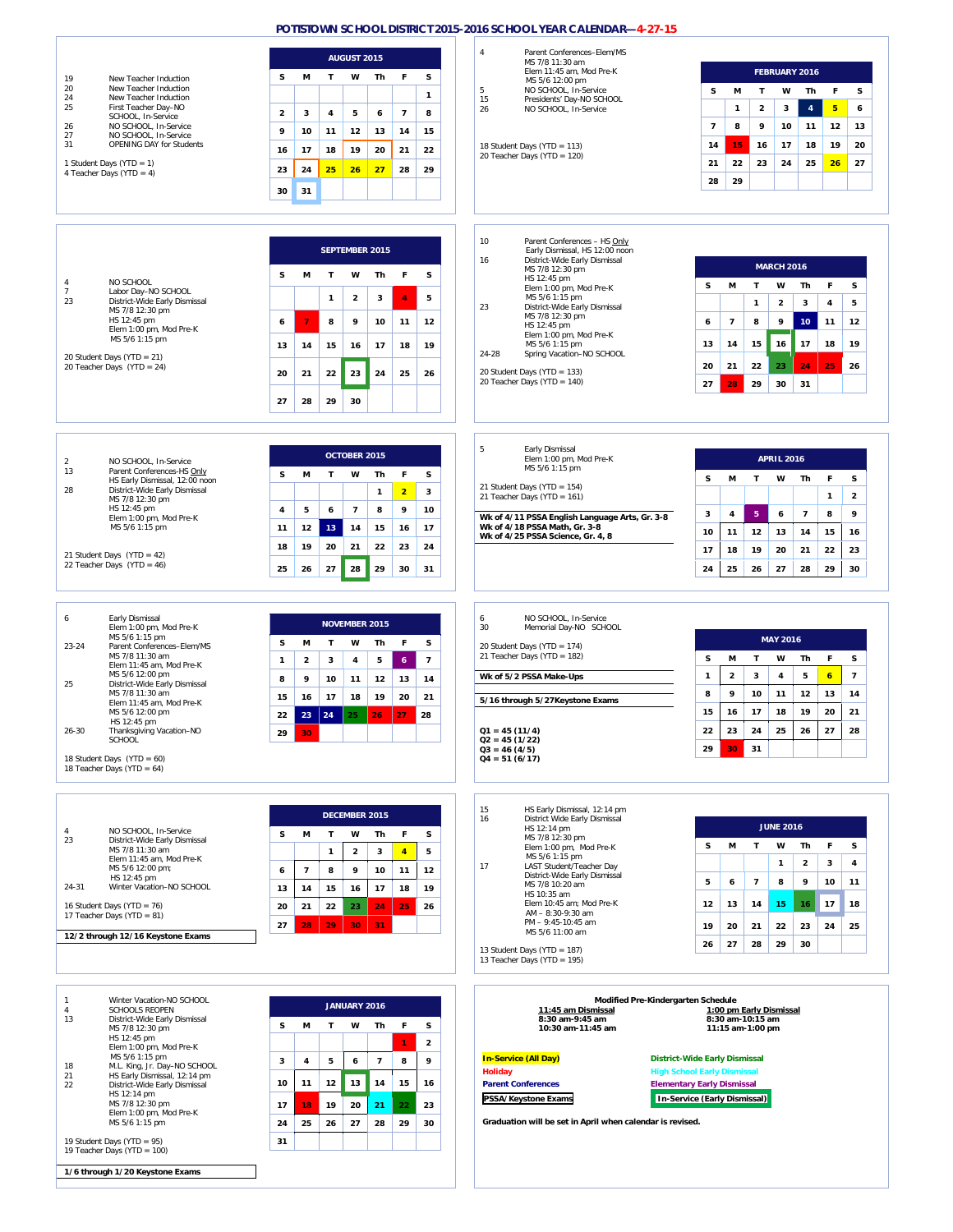|                                                                                | <b>AUGUST 2015</b>                                                          | Parent Conferences-Elem/MS<br>4                                                 |                                                                                                                                  |  |  |
|--------------------------------------------------------------------------------|-----------------------------------------------------------------------------|---------------------------------------------------------------------------------|----------------------------------------------------------------------------------------------------------------------------------|--|--|
|                                                                                |                                                                             | MS 7/8 11:30 am<br>Elem 11:45 am, Mod Pre-K                                     | FEBRUARY 2016                                                                                                                    |  |  |
| 19<br>New Teacher Induction<br>20<br>New Teacher Induction                     | s<br>s<br>М<br>т<br>w<br>Th<br>F                                            | MS 5/6 12:00 pm<br>5<br>NO SCHOOL, In-Service                                   | F<br>s<br>М<br>T<br>w<br>Th<br>s                                                                                                 |  |  |
| New Teacher Induction<br>24<br>25<br>First Teacher Day-NO                      | $\mathbf{1}$                                                                | 15<br>Presidents' Day-NO SCHOOL<br>NO SCHOOL, In-Service<br>26                  | $5\phantom{a}$<br>$\overline{4}$<br>$\overline{2}$<br>3<br>$\mathbf{1}$<br>6                                                     |  |  |
| SCHOOL, In-Service<br>NO SCHOOL, In-Service<br>26                              | 5<br>$\overline{7}$<br>$\overline{\mathbf{2}}$<br>3<br>4<br>6<br>8          |                                                                                 | $\overline{7}$<br>8<br>9<br>10<br>12<br>13<br>11                                                                                 |  |  |
| 27<br>NO SCHOOL, In-Service<br>31<br>OPENING DAY for Students                  | 10<br>$12$<br>15<br>9<br>11<br>13<br>14                                     |                                                                                 | 15<br>17<br>19<br>20                                                                                                             |  |  |
|                                                                                | 22<br>16<br>17<br>18<br>19<br>20<br>21                                      | 18 Student Days (YTD = 113)<br>20 Teacher Days (YTD = 120)                      | 14<br>16<br>18                                                                                                                   |  |  |
| 1 Student Days (YTD = 1)<br>4 Teacher Days (YTD = 4)                           | 24<br>25<br>26<br>27<br>28<br>29<br>23                                      |                                                                                 | 22<br>23<br>24<br>25<br>26<br>27<br>21                                                                                           |  |  |
|                                                                                | 30<br>31                                                                    |                                                                                 | 28<br>29                                                                                                                         |  |  |
|                                                                                |                                                                             |                                                                                 |                                                                                                                                  |  |  |
|                                                                                |                                                                             |                                                                                 |                                                                                                                                  |  |  |
|                                                                                | <b>SEPTEMBER 2015</b>                                                       | 10<br>Parent Conferences - HS Only<br>Early Dismissal, HS 12:00 noon            |                                                                                                                                  |  |  |
|                                                                                |                                                                             | 16<br>District-Wide Early Dismissal<br>MS 7/8 12:30 pm                          | <b>MARCH 2016</b>                                                                                                                |  |  |
| NO SCHOOL<br>4                                                                 | F<br>s<br>М<br>T<br>w<br>Th<br>s                                            | HS 12:45 pm<br>Elem 1:00 pm, Mod Pre-K                                          | M<br>Τ<br>W<br>Th<br>F<br>s<br>s                                                                                                 |  |  |
| Labor Day-NO SCHOOL<br>$\overline{7}$<br>23<br>District-Wide Early Dismissal   | $\blacktriangleleft$<br>5<br>$\mathbf{1}$<br>$\overline{\mathbf{2}}$<br>3   | MS 5/6 1:15 pm                                                                  | $\mathbf{1}$<br>$\mathbf 2$<br>3<br>4<br>5                                                                                       |  |  |
| MS 7/8 12:30 pm<br>HS 12:45 pm                                                 | 8<br>9<br>10<br>$12$<br>11<br>6                                             | 23<br>District-Wide Early Dismissal<br>MS 7/8 12:30 pm                          | $\overline{7}$<br>8<br>9<br>10 <sub>1</sub><br>12<br>6<br>11                                                                     |  |  |
| Elem 1:00 pm, Mod Pre-K<br>MS 5/6 1:15 pm                                      |                                                                             | HS 12:45 pm<br>Elem 1:00 pm, Mod Pre-K                                          |                                                                                                                                  |  |  |
|                                                                                | 14<br>15<br>16<br>17<br>18<br>19<br>13                                      | MS 5/6 1:15 pm<br>24-28<br>Spring Vacation-NO SCHOOL                            | 14<br>15<br>16<br>17<br>18<br>19<br>13                                                                                           |  |  |
| 20 Student Days (YTD = $21$ )<br>20 Teacher Days (YTD = 24)                    | 21<br>22<br>23<br>25<br>20<br>24<br>26                                      | 20 Student Days (YTD = 133)                                                     | 21<br>22<br>23<br>20<br>24<br>25<br>26                                                                                           |  |  |
|                                                                                |                                                                             | 20 Teacher Days (YTD = 140)                                                     | 29<br>30<br>31<br>27<br>28                                                                                                       |  |  |
|                                                                                | 29<br>30<br>27<br>28                                                        |                                                                                 |                                                                                                                                  |  |  |
|                                                                                |                                                                             |                                                                                 |                                                                                                                                  |  |  |
|                                                                                |                                                                             |                                                                                 |                                                                                                                                  |  |  |
| $\overline{2}$<br>NO SCHOOL, In-Service                                        | OCTOBER 2015                                                                | 5<br>Early Dismissal<br>Elem 1:00 pm, Mod Pre-K                                 | <b>APRIL 2016</b>                                                                                                                |  |  |
| 13<br>Parent Conferences-HS Only<br>HS Early Dismissal, 12:00 noon             | s<br>M<br>т<br>w<br>Th<br>F<br>s                                            | MS 5/6 1:15 pm                                                                  | S<br>s<br>M<br>w<br>F<br>т<br>Th                                                                                                 |  |  |
| District-Wide Early Dismissal<br>28                                            | $\overline{2}$<br>3<br>$\mathbf{1}$                                         | 21 Student Days (YTD = 154)<br>21 Teacher Days (YTD = 161)                      | $\overline{\mathbf{2}}$<br>1                                                                                                     |  |  |
| MS 7/8 12:30 pm<br>HS 12:45 pm                                                 | $\overline{\phantom{a}}$<br>9<br>4<br>5<br>6<br>8<br>10                     |                                                                                 | ${\bf 5}$<br>$\overline{7}$<br>8<br>9<br>3<br>4<br>6                                                                             |  |  |
| Elem 1:00 pm, Mod Pre-K<br>MS 5/6 1:15 pm                                      | 13<br>11<br>12<br>14<br>15<br>16<br>17                                      | Wk of 4/11 PSSA English Language Arts, Gr. 3-8<br>Wk of 4/18 PSSA Math, Gr. 3-8 | 15<br>10<br>11<br>12<br>13<br>14<br>16                                                                                           |  |  |
|                                                                                | 18<br>19<br>20<br>21<br>22<br>23<br>24                                      | Wk of 4/25 PSSA Science, Gr. 4, 8                                               |                                                                                                                                  |  |  |
| 21 Student Days (YTD = 42)<br>22 Teacher Days (YTD = 46)                       |                                                                             |                                                                                 | 18<br>19<br>20<br>21<br>22<br>23<br>17                                                                                           |  |  |
|                                                                                | 28<br>29<br>25<br>26<br>27<br>30<br>31                                      |                                                                                 | 25<br>29<br>30<br>24<br>26<br>27<br>28                                                                                           |  |  |
|                                                                                |                                                                             |                                                                                 |                                                                                                                                  |  |  |
| Early Dismissal<br>6                                                           |                                                                             | NO SCHOOL, In-Service<br>6                                                      |                                                                                                                                  |  |  |
| Elem 1:00 pm, Mod Pre-K<br>MS 5/6 1:15 pm                                      | <b>NOVEMBER 2015</b>                                                        | 30<br>Memorial Day-NO SCHOOL                                                    | <b>MAY 2016</b>                                                                                                                  |  |  |
| Parent Conferences-Elem/MS<br>$23 - 24$<br>MS 7/8 11:30 am                     | F<br>s<br>М<br>T<br>w<br>Th<br>s                                            | 20 Student Days (YTD = 174)<br>21 Teacher Days (YTD = 182)                      |                                                                                                                                  |  |  |
|                                                                                | $\mathbf{2}$<br>3<br>$\overline{7}$<br>$\mathbf{1}$<br>4<br>5<br>$\epsilon$ |                                                                                 | s<br>s<br>M<br>Τ<br>W<br>Th<br>F<br>$\overline{2}$<br>3<br>$\overline{4}$<br>5<br>$\mathbf{6}$<br>$\overline{7}$<br>$\mathbf{1}$ |  |  |
| Elem 11:45 am, Mod Pre-K                                                       |                                                                             |                                                                                 |                                                                                                                                  |  |  |
| MS 5/6 12:00 pm<br>25<br>District-Wide Early Dismissal                         | 9<br>14<br>8<br>10<br>11<br>12<br>13                                        | Wk of 5/2 PSSA Make-Ups                                                         |                                                                                                                                  |  |  |
| MS 7/8 11:30 am<br>Elem 11:45 am, Mod Pre-K                                    | 20<br>15<br>16<br>17<br>18<br>19<br>21                                      | 5/16 through 5/27 Keystone Exams                                                | 9<br>10<br>12<br>8<br>11<br>13<br>14                                                                                             |  |  |
| MS 5/6 12:00 pm<br>HS 12:45 pm                                                 | $23 \mid 24$<br>27<br>25<br>22<br>26<br>28                                  |                                                                                 | 16<br>17<br>20<br>21<br>15<br>18<br>19                                                                                           |  |  |
| $26 - 30$<br>Thanksgiving Vacation-NO<br><b>SCHOOL</b>                         | 29<br>30                                                                    | $Q1 = 45(11/4)$<br>$Q2 = 45(1/22)$                                              | 22<br>23<br>24<br>25<br>26<br>27<br>28                                                                                           |  |  |
| 18 Student Days (YTD = 60)                                                     |                                                                             | $Q3 = 46(4/5)$<br>$Q4 = 51(6/17)$                                               | 31<br>29<br>30                                                                                                                   |  |  |
| 18 Teacher Days (YTD = 64)                                                     |                                                                             |                                                                                 |                                                                                                                                  |  |  |
|                                                                                |                                                                             |                                                                                 |                                                                                                                                  |  |  |
|                                                                                |                                                                             | 15<br>HS Early Dismissal, 12:14 pm                                              |                                                                                                                                  |  |  |
| NO SCHOOL, In-Service<br>4                                                     | DECEMBER 2015                                                               | District Wide Early Dismissal<br>16<br>HS 12:14 pm                              | <b>JUNE 2016</b>                                                                                                                 |  |  |
| 23<br>District-Wide Early Dismissal                                            | M<br>s<br>T<br>w<br>Th<br>F<br>s                                            | MS 7/8 12:30 pm<br>Elem 1:00 pm, Mod Pre-K                                      | T.<br>w<br>Th<br>F<br>s<br>s<br>М                                                                                                |  |  |
| MS 7/8 11:30 am<br>Elem 11:45 am, Mod Pre-K                                    | $\overline{4}$<br>5<br>$\overline{2}$<br>$\mathbf{1}$<br>3                  | MS 5/6 1:15 pm<br>17<br>LAST Student/Teacher Day                                | $\overline{\mathbf{4}}$<br>$\mathbf{1}$<br>$\overline{2}$<br>3                                                                   |  |  |
| MS 5/6 12:00 pm;<br>HS 12:45 pm                                                | $\overline{7}$<br>8<br>9<br>10<br>11<br>12<br>6                             | District-Wide Early Dismissal                                                   | $\overline{7}$<br>5<br>6<br>8<br>9<br>10<br>11                                                                                   |  |  |
| 24-31<br>Winter Vacation-NO SCHOOL                                             | 14<br>15<br>17<br>18<br>19<br>13<br>16                                      | MS 7/8 10:20 am<br>HS 10:35 am                                                  |                                                                                                                                  |  |  |
| 16 Student Days (YTD = 76)<br>17 Teacher Days (YTD = 81)                       | 20<br>21<br>22<br>23<br>24<br>25<br>26                                      | Elem 10:45 am; Mod Pre-K<br>AM - 8:30-9:30 am                                   | 12<br>13<br>14<br>15<br>17<br>18<br>16                                                                                           |  |  |
| 12/2 through 12/16 Keystone Exams                                              | 27<br>29<br>30<br>28<br>31                                                  | PM - 9:45-10:45 am<br>MS 5/6 11:00 am                                           | 19<br>20<br>21<br>22<br>23<br>24<br>25                                                                                           |  |  |
|                                                                                |                                                                             | 13 Student Days (YTD = 187)                                                     | 30<br>26<br>27<br>28<br>29                                                                                                       |  |  |
|                                                                                |                                                                             | 13 Teacher Days (YTD = 195)                                                     |                                                                                                                                  |  |  |
|                                                                                |                                                                             |                                                                                 |                                                                                                                                  |  |  |
| Winter Vacation-NO SCHOOL<br>1                                                 |                                                                             | Modified Pre-Kindergarten Schedule                                              |                                                                                                                                  |  |  |
| <b>SCHOOLS REOPEN</b><br>$\overline{4}$<br>13<br>District-Wide Early Dismissal | <b>JANUARY 2016</b>                                                         | 11:45 am Dismissal<br>8:30 am-9:45 am                                           | 1:00 pm Early Dismissal<br>8:30 am-10:15 am                                                                                      |  |  |
| MS 7/8 12:30 pm<br>HS 12:45 pm                                                 | F<br>s<br>M<br>т<br>w<br>Th<br>s                                            | 10:30 am-11:45 am                                                               | 11:15 am-1:00 pm                                                                                                                 |  |  |
| Elem 1:00 pm, Mod Pre-K<br>MS 5/6 1:15 pm                                      | $\mathbf{2}$<br>$\mathbf{I}$                                                |                                                                                 |                                                                                                                                  |  |  |
| M.L. King, Jr. Day-NO SCHOOL<br>18                                             | $\overline{\phantom{a}}$<br>8<br>9<br>3<br>4<br>5<br>6                      | <b>In-Service (All Day)</b><br><b>Holiday</b>                                   | <b>District-Wide Early Dismissal</b><br><b>High School Early Dismissal</b>                                                       |  |  |
| HS Early Dismissal, 12:14 pm<br>21<br>22<br>District-Wide Early Dismissal      | 13<br>11<br>12<br>14<br>15<br>16<br>10                                      | <b>Parent Conferences</b>                                                       | <b>Elementary Early Dismissal</b>                                                                                                |  |  |
| HS 12:14 pm<br>MS 7/8 12:30 pm                                                 | 20<br>22<br>23<br>17<br>18<br>19<br>21                                      | PSSA/Keystone Exams                                                             | In-Service (Early Dismissal)                                                                                                     |  |  |
| Elem 1:00 pm, Mod Pre-K<br>MS 5/6 1:15 pm                                      | 29<br>24<br>25<br>26<br>27<br>28<br>30                                      | Graduation will be set in April when calendar is revised.                       |                                                                                                                                  |  |  |
| 19 Student Days (YTD = 95)<br>19 Teacher Days (YTD = 100)                      | 31                                                                          |                                                                                 |                                                                                                                                  |  |  |

**1/6 through 1/20 Keystone Exams**

 $\overline{\phantom{a}}$